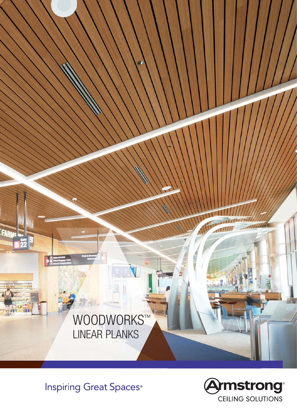

**Inspiring Great Spaces**®

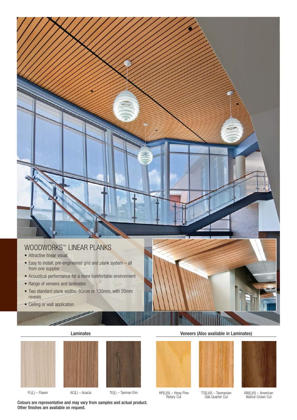### WOODWORKS™ LINEAR PLANKS

- Attractive linear visual
- Easy to install, pre-engineered grid and plank system all from one supplier
- Acoustical performance for a more comfortable environment
- Range of veneers and laminates
- Two standard plank widths; 80mm or 130mm, with 20mm reveals
- Ceiling or wall application





FL(L) – Flaxen AC(L) – Acacia TE(L) – Tasman Elm HP(L)(V) – Hoop Pine

Colours are representative and may vary from samples and actual product. Other finishes are available on request.



llia

Rotary Cut



TO(L)(V) – Tasmanian Oak Quarter Cut

AW(L)(V) – American Walnut Crown Cut

#### Laminates Veneers (Also available in Laminates)

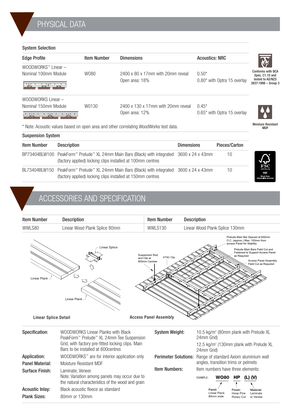### System Selection

| <b>Edge Profile</b>                                                                      | <b>Item Number</b> | <b>Dimensions</b>                                                 | <b>Acoustics: NRC</b>                  |                                                                                        |
|------------------------------------------------------------------------------------------|--------------------|-------------------------------------------------------------------|----------------------------------------|----------------------------------------------------------------------------------------|
| WOODWORKS™ Linear -<br>Nominal 100mm Module                                              | W080               | $2400 \times 80 \times 17$ mm with 20 mm reveal<br>Open area: 18% | $0.50*$<br>0.80* with Optra 15 overlay | <b>Conforms with BCA</b><br>Spec. C1.10 and<br>tested to AS/NZS<br>3837:1998 - Group 3 |
| WOODWORKS Linear -<br>Nominal 150mm Module<br><u>-3--343--3---3--313--3---3--343--3-</u> | W0130              | 2400 x 130 x 17mm with 20mm reveal<br>Open area: 12%              | $0.45*$<br>0.65* with Optra 15 overlay | $\Delta$                                                                               |

Moisture Resistant MDF

\* Note: Acoustic values based on open area and other correlating WoodWorks test data.

| <b>Suspension System</b> |                                                                                                                                                           |                   |               |  |
|--------------------------|-----------------------------------------------------------------------------------------------------------------------------------------------------------|-------------------|---------------|--|
| Item Number              | <b>Description</b>                                                                                                                                        | <b>Dimensions</b> | Pieces/Carton |  |
|                          | BP73404BLW100 PeakForm™ Prelude™ XL 24mm Main Bars (Black) with integrated 3600 x 24 x 43mm<br>(factory applied) locking clips installed at 100mm centres |                   | 10            |  |
|                          | BL73404BLW150 PeakForm™ Prelude™ XL 24mm Main Bars (Black) with integrated 3600 x 24 x 43mm<br>(factory applied) locking clips installed at 150mm centres |                   | 10            |  |

# ACCESSORIES AND SPECIFICATION

| <b>Item Number</b>                                 | <b>Description</b>                                                                                                                                                          | <b>Item Number</b>                                                                                 | <b>Description</b>                                                                                                                                                                                                                                     |  |  |
|----------------------------------------------------|-----------------------------------------------------------------------------------------------------------------------------------------------------------------------------|----------------------------------------------------------------------------------------------------|--------------------------------------------------------------------------------------------------------------------------------------------------------------------------------------------------------------------------------------------------------|--|--|
| WWLS80                                             | Linear Wood Plank Splice 80mm                                                                                                                                               | WWLS130                                                                                            | Linear Wood Plank Splice 130mm                                                                                                                                                                                                                         |  |  |
| <b>Linear Plank</b><br><b>Linear Splice Detail</b> | <b>Linear Splice</b><br>13<br>Linear Plank                                                                                                                                  | Suspension Rod<br><b>XTAC Clip</b><br>and Clip at<br>900mm Centres<br><b>Access Panel Assembly</b> | Prelude Main Bar Spaced at 600mm<br>O.C. (approx.) Max. 100mm from<br>access Panel for Stability<br>Prelude Main Bars Field Cut and<br><b>Fastened to Support Access Panel</b><br>as Required<br><b>Access Panel Assembly</b><br>Field Cut as Required |  |  |
| Specification:                                     | WOODWORKS Linear Planks with Black<br>PeakForm™ Prelude™ XL 24mm Tee Suspension<br>Grid, with factory pre-fitted locking clips. Main<br>Bars to be installed at 600 centres | <b>System Weight:</b>                                                                              | 10.5 kg/m <sup>2</sup> (80mm plank with Prelude XL<br>24mm Grid)<br>12.5 kg/m <sup>2</sup> (130mm plank with Prelude XL<br>24mm Grid)                                                                                                                  |  |  |
| Application:                                       | WOODWORKS™ are for interior application only                                                                                                                                | <b>Perimeter Solutions:</b>                                                                        | Range of standard Axiom aluminium wall                                                                                                                                                                                                                 |  |  |
| <b>Panel Material:</b>                             | Moisture Resistant MDF                                                                                                                                                      |                                                                                                    | angles, transition trims or pelmets                                                                                                                                                                                                                    |  |  |
| <b>Surface Finish:</b>                             | Laminate, Veneer.                                                                                                                                                           | <b>Item Numbers:</b>                                                                               | Item numbers have three elements:                                                                                                                                                                                                                      |  |  |
|                                                    | Note: Variation among panels may occur due to<br>the natural characteristics of the wood and grain                                                                          |                                                                                                    | WO80 HP (L) (V)<br>EXAMPLE:                                                                                                                                                                                                                            |  |  |
| <b>Acoustic Inlay:</b>                             | Black acoustic fleece as standard                                                                                                                                           |                                                                                                    | Panel:<br>Finish:<br>Material:                                                                                                                                                                                                                         |  |  |
| <b>Plank Sizes:</b>                                | 80mm or 130mm                                                                                                                                                               |                                                                                                    | Linear Plank<br>Laminate<br>Hoop Pine<br>80mm wide<br>or Veneer<br>Rotary Cut                                                                                                                                                                          |  |  |